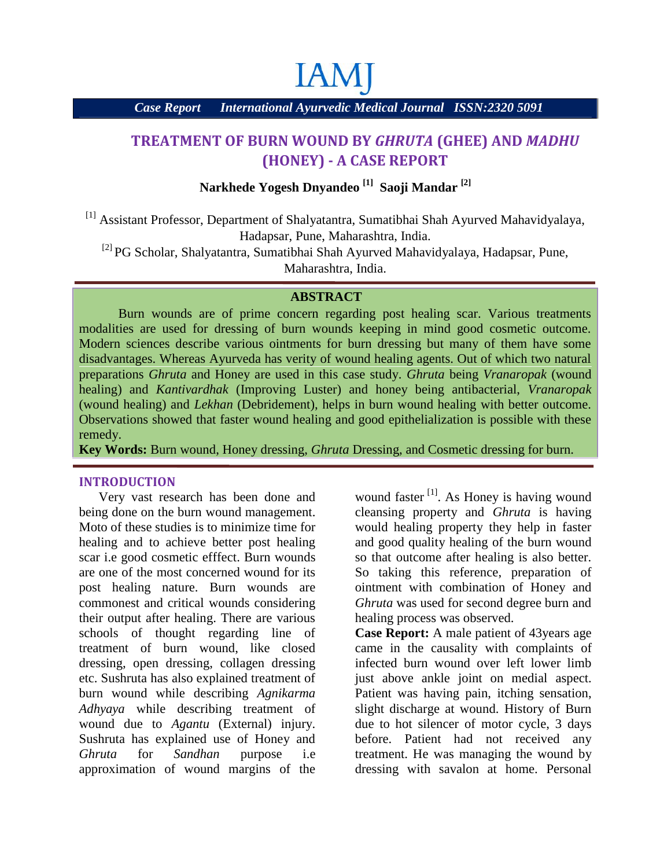# **IAM**

*Case Report International Ayurvedic Medical Journal ISSN:2320 5091*

# **TREATMENT OF BURN WOUND BY** *GHRUTA* **(GHEE) AND** *MADHU* **(HONEY) -A CASE REPORT**

## **Narkhede Yogesh Dnyandeo [1] Saoji Mandar [2]**

[1] Assistant Professor, Department of Shalyatantra, Sumatibhai Shah Ayurved Mahavidyalaya, Hadapsar, Pune, Maharashtra, India.

[2] PG Scholar, Shalyatantra, Sumatibhai Shah Ayurved Mahavidyalaya, Hadapsar, Pune,

Maharashtra, India.

### **ABSTRACT**

Burn wounds are of prime concern regarding post healing scar. Various treatments modalities are used for dressing of burn wounds keeping in mind good cosmetic outcome. Modern sciences describe various ointments for burn dressing but many of them have some disadvantages. Whereas Ayurveda has verity of wound healing agents. Out of which two natural preparations *Ghruta* and Honey are used in this case study. *Ghruta* being *Vranaropak* (wound healing) and *Kantivardhak* (Improving Luster) and honey being antibacterial, *Vranaropak* (wound healing) and *Lekhan* (Debridement), helps in burn wound healing with better outcome. Observations showed that faster wound healing and good epithelialization is possible with these remedy.

**Key Words:** Burn wound, Honey dressing, *Ghruta* Dressing, and Cosmetic dressing for burn.

#### **INTRODUCTION**

Very vast research has been done and being done on the burn wound management. Moto of these studies is to minimize time for healing and to achieve better post healing scar i.e good cosmetic efffect. Burn wounds are one of the most concerned wound for its post healing nature. Burn wounds are commonest and critical wounds considering their output after healing. There are various schools of thought regarding line of treatment of burn wound, like closed dressing, open dressing, collagen dressing etc. Sushruta has also explained treatment of burn wound while describing *Agnikarma Adhyaya* while describing treatment of wound due to *Agantu* (External) injury. Sushruta has explained use of Honey and *Ghruta* for *Sandhan* purpose i.e approximation of wound margins of the

wound faster<sup>[1]</sup>. As Honey is having wound cleansing property and *Ghruta* is having would healing property they help in faster and good quality healing of the burn wound so that outcome after healing is also better. So taking this reference, preparation of ointment with combination of Honey and *Ghruta* was used for second degree burn and healing process was observed.

**Case Report:** A male patient of 43years age came in the causality with complaints of infected burn wound over left lower limb just above ankle joint on medial aspect. Patient was having pain, itching sensation, slight discharge at wound. History of Burn due to hot silencer of motor cycle, 3 days before. Patient had not received any treatment. He was managing the wound by dressing with savalon at home. Personal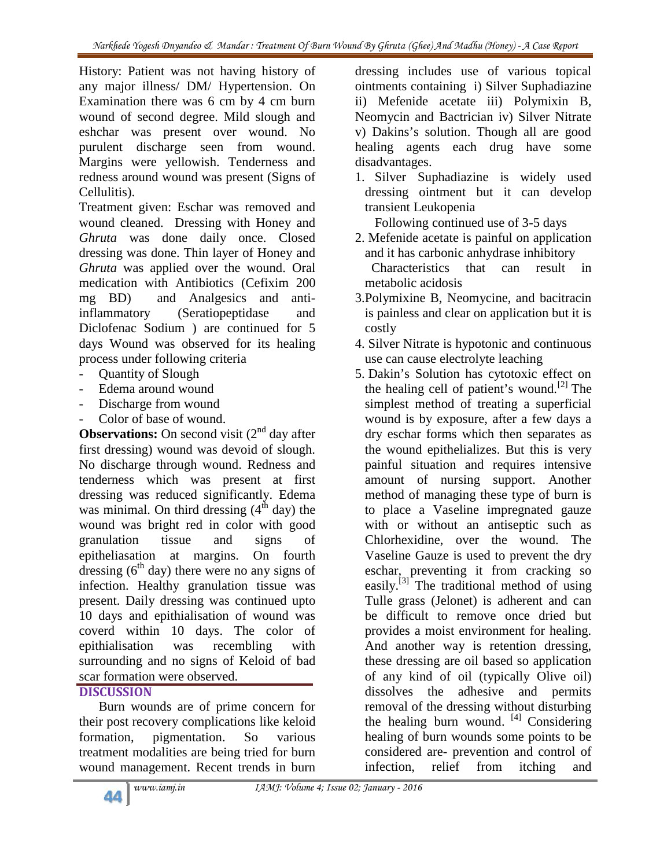History: Patient was not having history of any major illness/ DM/ Hypertension. On Examination there was 6 cm by 4 cm burn wound of second degree. Mild slough and eshchar was present over wound. No purulent discharge seen from wound. Margins were yellowish. Tenderness and redness around wound was present (Signs of Cellulitis).

Treatment given: Eschar was removed and wound cleaned. Dressing with Honey and *Ghruta* was done daily once. Closed dressing was done. Thin layer of Honey and *Ghruta* was applied over the wound. Oral medication with Antibiotics (Cefixim 200 mg BD) and Analgesics and antiinflammatory (Seratiopeptidase and Diclofenac Sodium ) are continued for 5 days Wound was observed for its healing process under following criteria

- Quantity of Slough
- Edema around wound
- Discharge from wound
- Color of base of wound.

**Observations:** On second visit  $(2^{nd}$  day after first dressing) wound was devoid of slough. No discharge through wound. Redness and tenderness which was present at first dressing was reduced significantly. Edema was minimal. On third dressing  $(4<sup>th</sup>$  day) the wound was bright red in color with good granulation tissue and signs of epitheliasation at margins. On fourth dressing  $(6<sup>th</sup>$  day) there were no any signs of infection. Healthy granulation tissue was present. Daily dressing was continued upto 10 days and epithialisation of wound was coverd within 10 days. The color of epithialisation was recembling with surrounding and no signs of Keloid of bad scar formation were observed.

# **DISCUSSION**

Burn wounds are of prime concern for their post recovery complications like keloid formation, pigmentation. So various treatment modalities are being tried for burn wound management. Recent trends in burn

dressing includes use of various topical ointments containing i) Silver Suphadiazine ii) Mefenide acetate iii) Polymixin B, Neomycin and Bactrician iv) Silver Nitrate v) Dakins's solution. Though all are good healing agents each drug have some disadvantages.

1. Silver Suphadiazine is widely used dressing ointment but it can develop transient Leukopenia

Following continued use of 3-5 days

- 2. Mefenide acetate is painful on application and it has carbonic anhydrase inhibitory Characteristics that can result in metabolic acidosis
- 3.Polymixine B, Neomycine, and bacitracin is painless and clear on application but it is costly
- 4. Silver Nitrate is hypotonic and continuous use can cause electrolyte leaching
- 5. Dakin's Solution has cytotoxic effect on the healing cell of patient's wound.<sup>[2]</sup> The simplest method of treating a superficial wound is by exposure, after a few days a dry eschar forms which then separates as the wound epithelializes. But this is very painful situation and requires intensive amount of nursing support. Another method of managing these type of burn is to place a Vaseline impregnated gauze with or without an antiseptic such as Chlorhexidine, over the wound. The Vaseline Gauze is used to prevent the dry eschar, preventing it from cracking so easily.<sup>[3]</sup> The traditional method of using Tulle grass (Jelonet) is adherent and can be difficult to remove once dried but provides a moist environment for healing. And another way is retention dressing, these dressing are oil based so application of any kind of oil (typically Olive oil) dissolves the adhesive and permits removal of the dressing without disturbing the healing burn wound. [4] Considering healing of burn wounds some points to be considered are- prevention and control of infection, relief from itching and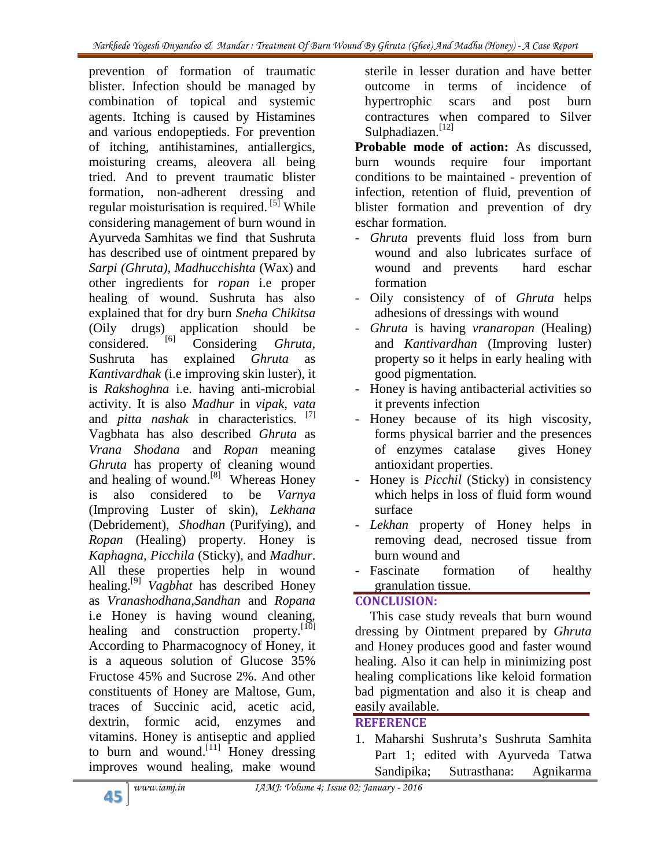prevention of formation of traumatic blister. Infection should be managed by combination of topical and systemic agents. Itching is caused by Histamines and various endopeptieds. For prevention of itching, antihistamines, antiallergics, moisturing creams, aleovera all being tried. And to prevent traumatic blister formation, non-adherent dressing and regular moisturisation is required. <sup>[5]</sup> While l considering management of burn wound in Ayurveda Samhitas we find that Sushruta has described use of ointment prepared by *Sarpi (Ghruta), Madhucchishta* (Wax) and other ingredients for *ropan* i.e proper healing of wound. Sushruta has also explained that for dry burn *Sneha Chikitsa* (Oily drugs) application should be  $\frac{1}{10}$  Considering *Chruta* considered. [6] Considering *Ghruta,* Sushruta has explained *Ghruta* as *Kantivardhak* (i.e improving skin luster), it is *Rakshoghna* i.e. having anti-microbial activity. It is also *Madhur* in *vipak*, *vata* and *pitta nashak* in characteristics. [7] Vagbhata has also described *Ghruta* as *Vrana Shodana* and *Ropan* meaning *Ghruta* has property of cleaning wound and healing of wound.<sup>[8]</sup> Whereas Honey is also considered to be *Varnya* (Improving Luster of skin), *Lekhana* (Debridement), *Shodhan* (Purifying), and *Ropan* (Healing) property. Honey is *Kaphagna, Picchila* (Sticky), and *Madhur*. All these properties help in wound healing.[9] *Vagbhat* has described Honey as *Vranashodhana,Sandhan* and *Ropana* i.e Honey is having wound cleaning, healing and construction property.<sup>[10]</sup> According to Pharmacognocy of Honey, it is a aqueous solution of Glucose 35% Fructose 45% and Sucrose 2%. And other constituents of Honey are Maltose, Gum, traces of Succinic acid, acetic acid, dextrin, formic acid, enzymes and vitamins. Honey is antiseptic and applied to burn and wound.<sup>[11]</sup> Honey dressing improves wound healing, make wound

sterile in lesser duration and have better outcome in terms of incidence of hypertrophic scars and post burn contractures when compared to Silver Sulphadiazen.<sup>[12]</sup>

**Probable mode of action:** As discussed, burn wounds require four important conditions to be maintained - prevention of infection, retention of fluid, prevention of blister formation and prevention of dry eschar formation.

- *Ghruta* prevents fluid loss from burn wound and also lubricates surface of wound and prevents hard eschar formation
- Oily consistency of of *Ghruta* helps adhesions of dressings with wound
- *Ghruta* is having *vranaropan* (Healing) and *Kantivardhan* (Improving luster) property so it helps in early healing with good pigmentation.
- Honey is having antibacterial activities so it prevents infection
- Honey because of its high viscosity, forms physical barrier and the presences of enzymes catalase gives Honey antioxidant properties.
- Honey is *Picchil* (Sticky) in consistency which helps in loss of fluid form wound surface
- *Lekhan* property of Honey helps in removing dead, necrosed tissue from burn wound and
- Fascinate formation of healthy granulation tissue.

## **CONCLUSION:**

This case study reveals that burn wound dressing by Ointment prepared by *Ghruta* and Honey produces good and faster wound healing. Also it can help in minimizing post healing complications like keloid formation bad pigmentation and also it is cheap and easily available.

# **REFERENCE**

1. Maharshi Sushruta's Sushruta Samhita Part 1; edited with Ayurveda Tatwa Sandipika; Sutrasthana: Agnikarma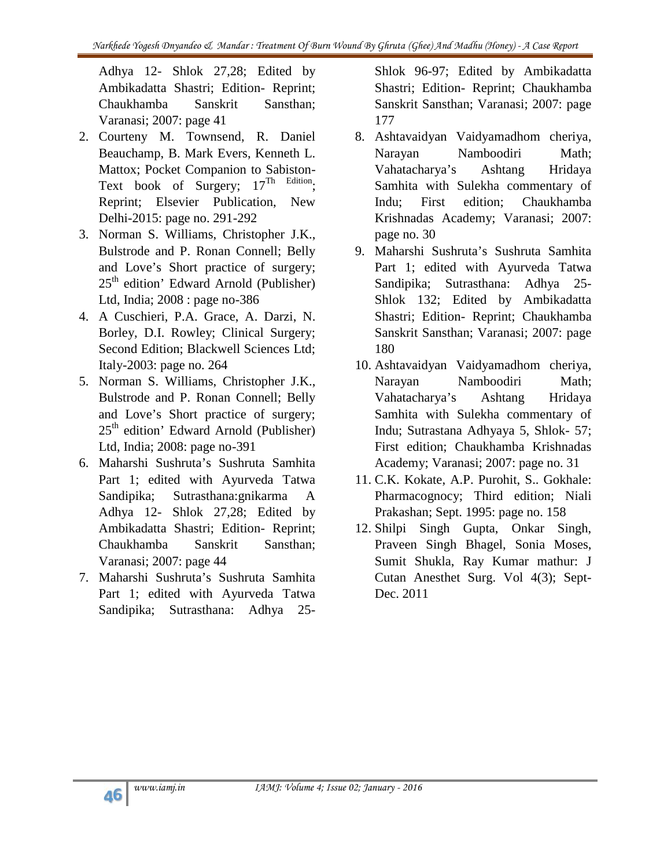Adhya 12- Shlok 27,28; Edited by Ambikadatta Shastri; Edition- Reprint; Chaukhamba Sanskrit Sansthan; Varanasi; 2007: page 41

- 2. Courteny M. Townsend, R. Daniel Beauchamp, B. Mark Evers, Kenneth L. Mattox; Pocket Companion to Sabiston- Text book of Surgery;  $17^{\text{Th}}$  Edition; Reprint; Elsevier Publication, New Indu; Delhi-2015: page no. 291-292
- 3. Norman S. Williams, Christopher J.K., Bulstrode and P. Ronan Connell; Belly and Love's Short practice of surgery;  $25<sup>th</sup>$  edition' Edward Arnold (Publisher) Ltd, India; 2008 : page no-386
- 4. A Cuschieri, P.A. Grace, A. Darzi, N. Borley, D.I. Rowley; Clinical Surgery; Second Edition; Blackwell Sciences Ltd; Italy-2003: page no. 264
- 5. Norman S. Williams, Christopher J.K., Bulstrode and P. Ronan Connell; Belly and Love's Short practice of surgery;  $25<sup>th</sup>$  edition' Edward Arnold (Publisher) Ltd, India; 2008: page no-391
- 6. Maharshi Sushruta's Sushruta Samhita Part 1; edited with Ayurveda Tatwa Sandipika; Sutrasthana:gnikarma A Adhya 12- Shlok 27,28; Edited by Ambikadatta Shastri; Edition- Reprint; Chaukhamba Sanskrit Sansthan; Varanasi; 2007: page 44
- 7. Maharshi Sushruta's Sushruta Samhita Part 1; edited with Ayurveda Tatwa Sandipika; Sutrasthana: Adhya 25-

Shlok 96-97; Edited by Ambikadatta Shastri; Edition- Reprint; Chaukhamba Sanskrit Sansthan; Varanasi; 2007: page 177

- 8. Ashtavaidyan Vaidyamadhom cheriya, Narayan Namboodiri Math; Vahatacharya's Ashtang Hridaya Samhita with Sulekha commentary of First edition: Chaukhamba Krishnadas Academy; Varanasi; 2007: page no. 30
- 9. Maharshi Sushruta's Sushruta Samhita Part 1; edited with Ayurveda Tatwa Sandipika; Sutrasthana: Adhya 25- Shlok 132; Edited by Ambikadatta Shastri; Edition- Reprint; Chaukhamba Sanskrit Sansthan; Varanasi; 2007: page 180
- 10. Ashtavaidyan Vaidyamadhom cheriya, Narayan Namboodiri Math; Vahatacharya's Ashtang Hridaya Samhita with Sulekha commentary of Indu; Sutrastana Adhyaya 5, Shlok- 57; First edition; Chaukhamba Krishnadas Academy; Varanasi; 2007: page no. 31
- 11. C.K. Kokate, A.P. Purohit, S.. Gokhale: Pharmacognocy; Third edition; Niali Prakashan; Sept. 1995: page no. 158
- 12. Shilpi Singh Gupta, Onkar Singh, Praveen Singh Bhagel, Sonia Moses, Sumit Shukla, Ray Kumar mathur: J Cutan Anesthet Surg. Vol 4(3); Sept- Dec. 2011